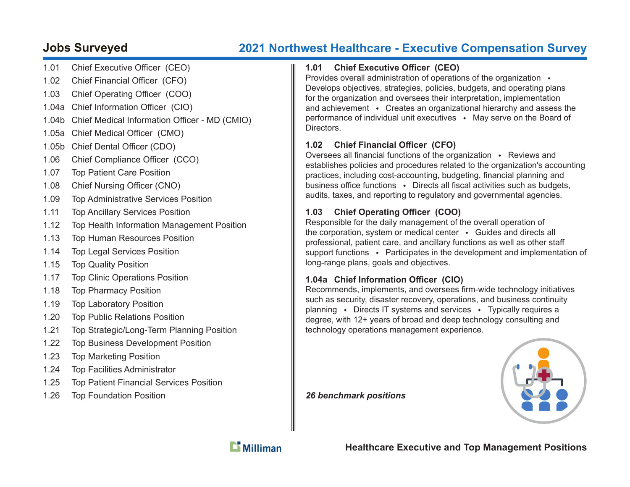# **Jobs Surveyed 2021 Northwest Healthcare - Executive Compensation Survey**

- 1.01 Chief Executive Officer (CEO)
- 1.02 Chief Financial Officer (CFO)
- 1.03 Chief Operating Officer (COO)
- 1.04a Chief Information Officer (CIO)
- 1.04b Chief Medical Information Officer MD (CMIO)
- 1.05a Chief Medical Officer (CMO)
- 1.05b Chief Dental Officer (CDO)
- 1.06 Chief Compliance Officer (CCO)
- 1.07 Top Patient Care Position
- 1.08 Chief Nursing Officer (CNO)
- 1.09 Top Administrative Services Position
- 1.11 Top Ancillary Services Position
- 1.12 Top Health Information Management Position
- 1.13 Top Human Resources Position
- 1.14 Top Legal Services Position
- 1.15 Top Quality Position
- 1.17 Top Clinic Operations Position
- 1.18 Top Pharmacy Position
- 1.19 Top Laboratory Position
- 1.20 Top Public Relations Position
- 1.21 Top Strategic/Long-Term Planning Position
- 1.22 Top Business Development Position
- 1.23 Top Marketing Position
- 1.24 Top Facilities Administrator
- 1.25 Top Patient Financial Services Position
- 1.26 Top Foundation Position

#### 1.01 Chief Executive Officer (CEO)

Provides overall administration of operations of the organization  $\cdot$ Develops objectives, strategies, policies, budgets, and operating plans for the organization and oversees their interpretation, implementation and achievement  $\cdot$  Creates an organizational hierarchy and assess the performance of individual unit executives  $\rightarrow$  May serve on the Board of **Directors** 

# 1.02 Chief Financial Officer (CFO)

Oversees all financial functions of the organization  $\cdot$  Reviews and establishes policies and procedures related to the organization's accounting practices, including cost-accounting, budgeting, financial planning and business office functions  $\cdot$  Directs all fiscal activities such as budgets, audits, taxes, and reporting to regulatory and governmental agencies.

# 1.03 Chief Operating Officer (COO)

Responsible for the daily management of the overall operation of the corporation, system or medical center  $\cdot$  Guides and directs all professional, patient care, and ancillary functions as well as other staff support functions  $\cdot$  Participates in the development and implementation of long-range plans, goals and objectives.

### 1.04a Chief Information Officer (CIO)

Recommends, implements, and oversees firm-wide technology initiatives such as security, disaster recovery, operations, and business continuity planning • Directs IT systems and services • Typically requires a degree, with 12+ years of broad and deep technology consulting and technology operations management experience.

*26 benchmark positions*





**Healthcare Executive and Top Management Positions**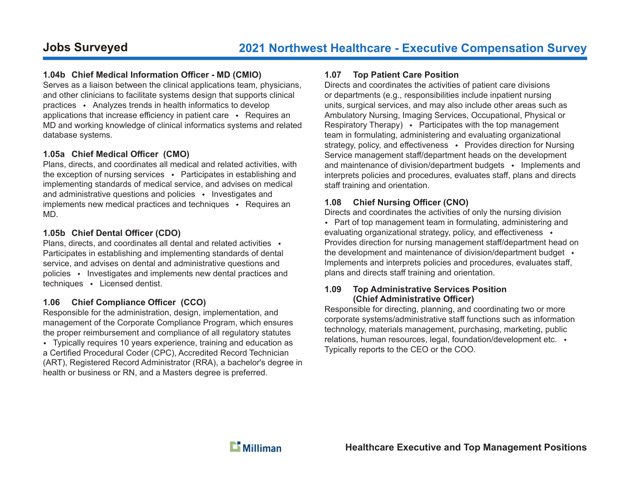#### **1.04b Chief Medical Information Offi cer - MD (CMIO)**

Serves as a liaison between the clinical applications team, physicians, and other clinicians to facilitate systems design that supports clinical practices  $\cdot$  Analyzes trends in health informatics to develop applications that increase efficiency in patient care  $\rightarrow$  Requires an MD and working knowledge of clinical informatics systems and related database systems.

#### **1.05a Chief Medical Offi cer (CMO)**

Plans, directs, and coordinates all medical and related activities, with the exception of nursing services  $\cdot$  Participates in establishing and implementing standards of medical service, and advises on medical and administrative questions and policies  $\cdot$  Investigates and implements new medical practices and techniques  $\cdot$  Requires an MD.

#### **1.05b Chief Dental Offi cer (CDO)**

Plans, directs, and coordinates all dental and related activities  $\rightarrow$ Participates in establishing and implementing standards of dental service, and advises on dental and administrative questions and policies  $\cdot$  Investigates and implements new dental practices and  $techniques \rightarrow Lieensed$  dentist.

#### 1.06 Chief Compliance Officer (CCO)

Responsible for the administration, design, implementation, and management of the Corporate Compliance Program, which ensures the proper reimbursement and compliance of all regulatory statutes Typically requires 10 years experience, training and education as a Certified Procedural Coder (CPC), Accredited Record Technician (ART), Registered Record Administrator (RRA), a bachelor's degree in health or business or RN, and a Masters degree is preferred.

#### **1.07 Top Patient Care Position**

Directs and coordinates the activities of patient care divisions or departments (e.g., responsibilities include inpatient nursing units, surgical services, and may also include other areas such as Ambulatory Nursing, Imaging Services, Occupational, Physical or Respiratory Therapy)  $\bullet$  Participates with the top management team in formulating, administering and evaluating organizational strategy, policy, and effectiveness • Provides direction for Nursing Service management staff/department heads on the development and maintenance of division/department budgets  $\cdot$  Implements and interprets policies and procedures, evaluates staff, plans and directs staff training and orientation.

#### 1.08 Chief Nursing Officer (CNO)

Directs and coordinates the activities of only the nursing division • Part of top management team in formulating, administering and evaluating organizational strategy, policy, and effectiveness  $\rightarrow$ Provides direction for nursing management staff/department head on the development and maintenance of division/department budget  $\rightarrow$ Implements and interprets policies and procedures, evaluates staff, plans and directs staff training and orientation.

#### **1.09 Top Administrative Services Position (Chief Administrative Offi cer)**

Responsible for directing, planning, and coordinating two or more corporate systems/administrative staff functions such as information technology, materials management, purchasing, marketing, public relations, human resources, legal, foundation/development etc. Typically reports to the CEO or the COO.

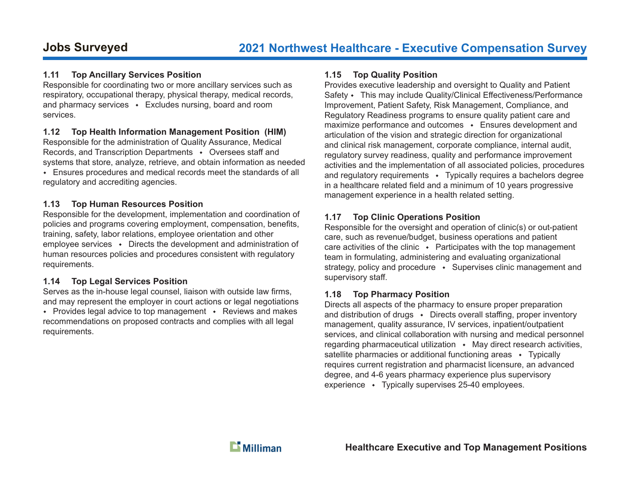#### **1.11 Top Ancillary Services Position**

Responsible for coordinating two or more ancillary services such as respiratory, occupational therapy, physical therapy, medical records, and pharmacy services  $\cdot$  Excludes nursing, board and room services.

#### **1.12 Top Health Information Management Position (HIM)**

Responsible for the administration of Quality Assurance, Medical Records, and Transcription Departments • Oversees staff and systems that store, analyze, retrieve, and obtain information as needed Ensures procedures and medical records meet the standards of all regulatory and accrediting agencies.

#### **1.13 Top Human Resources Position**

Responsible for the development, implementation and coordination of policies and programs covering employment, compensation, benefits, training, safety, labor relations, employee orientation and other employee services  $\cdot$  Directs the development and administration of human resources policies and procedures consistent with regulatory requirements.

### **1.14 Top Legal Services Position**

Serves as the in-house legal counsel, liaison with outside law firms, and may represent the employer in court actions or legal negotiations • Provides legal advice to top management • Reviews and makes recommendations on proposed contracts and complies with all legal requirements.

#### **1.15 Top Quality Position**

Provides executive leadership and oversight to Quality and Patient Safety • This may include Quality/Clinical Effectiveness/Performance Improvement, Patient Safety, Risk Management, Compliance, and Regulatory Readiness programs to ensure quality patient care and maximize performance and outcomes  $\cdot$  Ensures development and articulation of the vision and strategic direction for organizational and clinical risk management, corporate compliance, internal audit, regulatory survey readiness, quality and performance improvement activities and the implementation of all associated policies, procedures and regulatory requirements  $\cdot$  Typically requires a bachelors degree in a healthcare related field and a minimum of 10 years progressive management experience in a health related setting.

# **1.17 Top Clinic Operations Position**

Responsible for the oversight and operation of clinic(s) or out-patient care, such as revenue/budget, business operations and patient care activities of the clinic  $\cdot$  Participates with the top management team in formulating, administering and evaluating organizational strategy, policy and procedure  $\rightarrow$  Supervises clinic management and supervisory staff.

# **1.18 Top Pharmacy Position**

Directs all aspects of the pharmacy to ensure proper preparation and distribution of drugs  $\bullet$  Directs overall staffing, proper inventory management, quality assurance, IV services, inpatient/outpatient services, and clinical collaboration with nursing and medical personnel regarding pharmaceutical utilization  $\rightarrow$  May direct research activities, satellite pharmacies or additional functioning areas  $\cdot$  Typically requires current registration and pharmacist licensure, an advanced degree, and 4-6 years pharmacy experience plus supervisory experience  $\cdot$  Typically supervises 25-40 employees.